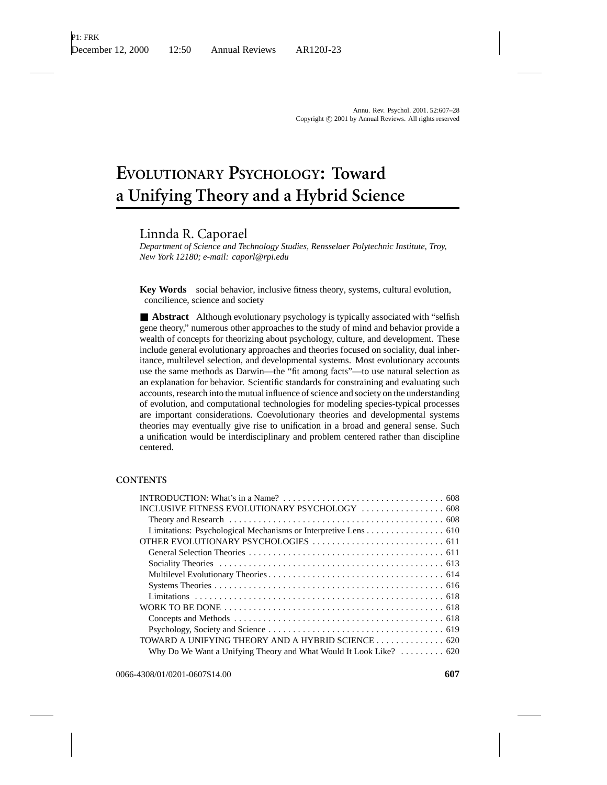# **EVOLUTIONARY PSYCHOLOGY: Toward a Unifying Theory and a Hybrid Science**

# Linnda R. Caporael

*Department of Science and Technology Studies, Rensselaer Polytechnic Institute, Troy, New York 12180; e-mail: caporl@rpi.edu*

**Key Words** social behavior, inclusive fitness theory, systems, cultural evolution, concilience, science and society

■ **Abstract** Although evolutionary psychology is typically associated with "selfish" gene theory," numerous other approaches to the study of mind and behavior provide a wealth of concepts for theorizing about psychology, culture, and development. These include general evolutionary approaches and theories focused on sociality, dual inheritance, multilevel selection, and developmental systems. Most evolutionary accounts use the same methods as Darwin—the "fit among facts"—to use natural selection as an explanation for behavior. Scientific standards for constraining and evaluating such accounts, research into the mutual influence of science and society on the understanding of evolution, and computational technologies for modeling species-typical processes are important considerations. Coevolutionary theories and developmental systems theories may eventually give rise to unification in a broad and general sense. Such a unification would be interdisciplinary and problem centered rather than discipline centered.

## **CONTENTS**

| Limitations: Psychological Mechanisms or Interpretive Lens 610                  |
|---------------------------------------------------------------------------------|
|                                                                                 |
|                                                                                 |
|                                                                                 |
|                                                                                 |
|                                                                                 |
|                                                                                 |
|                                                                                 |
|                                                                                 |
|                                                                                 |
| TOWARD A UNIFYING THEORY AND A HYBRID SCIENCE 620                               |
| Why Do We Want a Unifying Theory and What Would It Look Like? $\dots \dots$ 620 |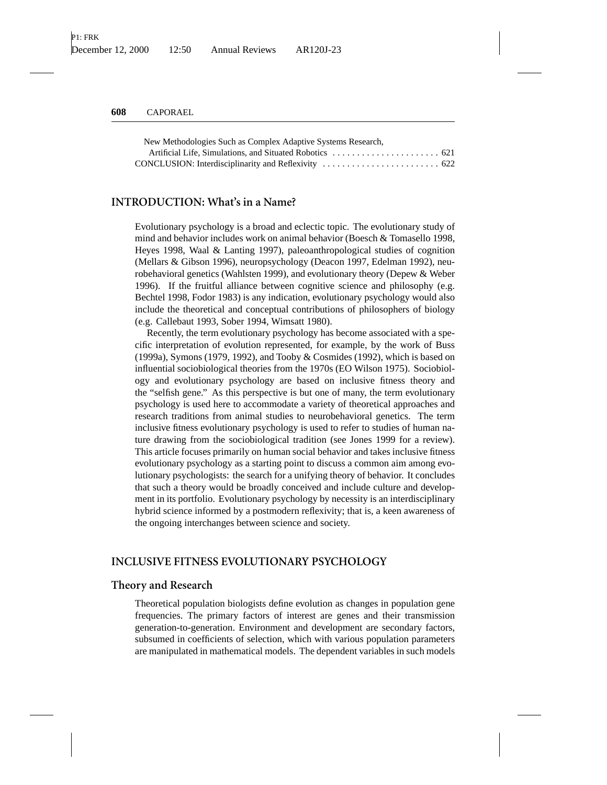| New Methodologies Such as Complex Adaptive Systems Research, |  |
|--------------------------------------------------------------|--|
|                                                              |  |
|                                                              |  |

## **INTRODUCTION: What's in a Name?**

Evolutionary psychology is a broad and eclectic topic. The evolutionary study of mind and behavior includes work on animal behavior (Boesch & Tomasello 1998, Heyes 1998, Waal & Lanting 1997), paleoanthropological studies of cognition (Mellars & Gibson 1996), neuropsychology (Deacon 1997, Edelman 1992), neurobehavioral genetics (Wahlsten 1999), and evolutionary theory (Depew & Weber 1996). If the fruitful alliance between cognitive science and philosophy (e.g. Bechtel 1998, Fodor 1983) is any indication, evolutionary psychology would also include the theoretical and conceptual contributions of philosophers of biology (e.g. Callebaut 1993, Sober 1994, Wimsatt 1980).

Recently, the term evolutionary psychology has become associated with a specific interpretation of evolution represented, for example, by the work of Buss (1999a), Symons (1979, 1992), and Tooby  $&$  Cosmides (1992), which is based on influential sociobiological theories from the 1970s (EO Wilson 1975). Sociobiology and evolutionary psychology are based on inclusive fitness theory and the "selfish gene." As this perspective is but one of many, the term evolutionary psychology is used here to accommodate a variety of theoretical approaches and research traditions from animal studies to neurobehavioral genetics. The term inclusive fitness evolutionary psychology is used to refer to studies of human nature drawing from the sociobiological tradition (see Jones 1999 for a review). This article focuses primarily on human social behavior and takes inclusive fitness evolutionary psychology as a starting point to discuss a common aim among evolutionary psychologists: the search for a unifying theory of behavior. It concludes that such a theory would be broadly conceived and include culture and development in its portfolio. Evolutionary psychology by necessity is an interdisciplinary hybrid science informed by a postmodern reflexivity; that is, a keen awareness of the ongoing interchanges between science and society.

### **INCLUSIVE FITNESS EVOLUTIONARY PSYCHOLOGY**

#### **Theory and Research**

Theoretical population biologists define evolution as changes in population gene frequencies. The primary factors of interest are genes and their transmission generation-to-generation. Environment and development are secondary factors, subsumed in coefficients of selection, which with various population parameters are manipulated in mathematical models. The dependent variables in such models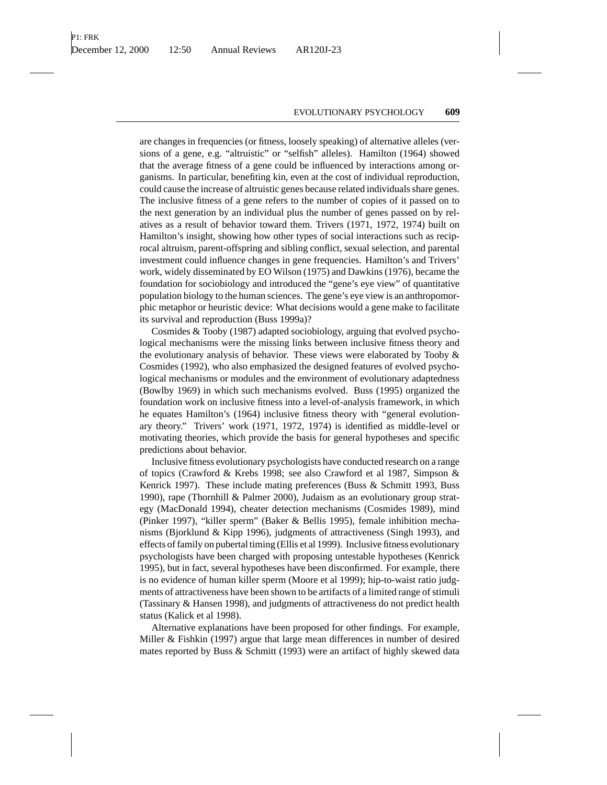are changes in frequencies (or fitness, loosely speaking) of alternative alleles (versions of a gene, e.g. "altruistic" or "selfish" alleles). Hamilton (1964) showed that the average fitness of a gene could be influenced by interactions among organisms. In particular, benefiting kin, even at the cost of individual reproduction, could cause the increase of altruistic genes because related individuals share genes. The inclusive fitness of a gene refers to the number of copies of it passed on to the next generation by an individual plus the number of genes passed on by relatives as a result of behavior toward them. Trivers (1971, 1972, 1974) built on Hamilton's insight, showing how other types of social interactions such as reciprocal altruism, parent-offspring and sibling conflict, sexual selection, and parental investment could influence changes in gene frequencies. Hamilton's and Trivers' work, widely disseminated by EO Wilson (1975) and Dawkins (1976), became the foundation for sociobiology and introduced the "gene's eye view" of quantitative population biology to the human sciences. The gene's eye view is an anthropomorphic metaphor or heuristic device: What decisions would a gene make to facilitate its survival and reproduction (Buss 1999a)?

Cosmides & Tooby (1987) adapted sociobiology, arguing that evolved psychological mechanisms were the missing links between inclusive fitness theory and the evolutionary analysis of behavior. These views were elaborated by Tooby & Cosmides (1992), who also emphasized the designed features of evolved psychological mechanisms or modules and the environment of evolutionary adaptedness (Bowlby 1969) in which such mechanisms evolved. Buss (1995) organized the foundation work on inclusive fitness into a level-of-analysis framework, in which he equates Hamilton's (1964) inclusive fitness theory with "general evolutionary theory." Trivers' work (1971, 1972, 1974) is identified as middle-level or motivating theories, which provide the basis for general hypotheses and specific predictions about behavior.

Inclusive fitness evolutionary psychologists have conducted research on a range of topics (Crawford & Krebs 1998; see also Crawford et al 1987, Simpson & Kenrick 1997). These include mating preferences (Buss & Schmitt 1993, Buss 1990), rape (Thornhill & Palmer 2000), Judaism as an evolutionary group strategy (MacDonald 1994), cheater detection mechanisms (Cosmides 1989), mind (Pinker 1997), "killer sperm" (Baker & Bellis 1995), female inhibition mechanisms (Bjorklund & Kipp 1996), judgments of attractiveness (Singh 1993), and effects of family on pubertal timing (Ellis et al 1999). Inclusive fitness evolutionary psychologists have been charged with proposing untestable hypotheses (Kenrick 1995), but in fact, several hypotheses have been disconfirmed. For example, there is no evidence of human killer sperm (Moore et al 1999); hip-to-waist ratio judgments of attractiveness have been shown to be artifacts of a limited range of stimuli (Tassinary & Hansen 1998), and judgments of attractiveness do not predict health status (Kalick et al 1998).

Alternative explanations have been proposed for other findings. For example, Miller & Fishkin (1997) argue that large mean differences in number of desired mates reported by Buss & Schmitt (1993) were an artifact of highly skewed data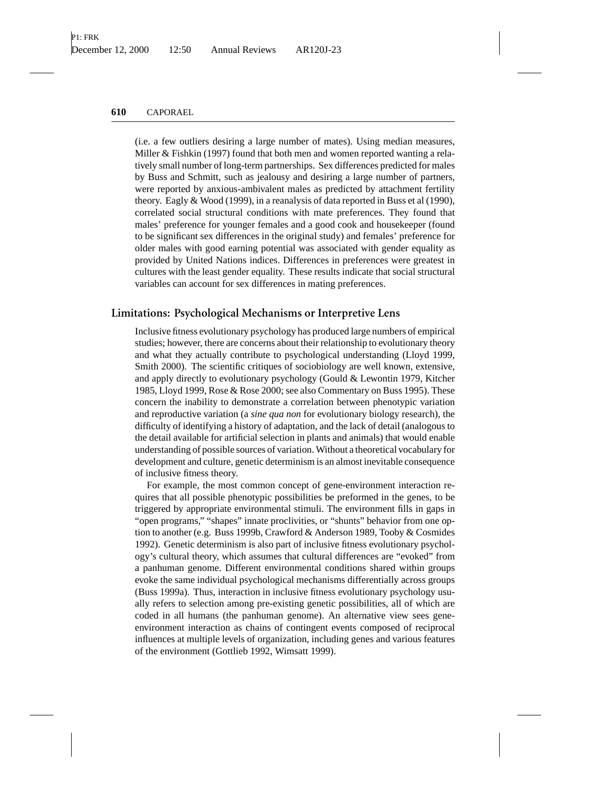(i.e. a few outliers desiring a large number of mates). Using median measures, Miller & Fishkin (1997) found that both men and women reported wanting a relatively small number of long-term partnerships. Sex differences predicted for males by Buss and Schmitt, such as jealousy and desiring a large number of partners, were reported by anxious-ambivalent males as predicted by attachment fertility theory. Eagly & Wood (1999), in a reanalysis of data reported in Buss et al (1990), correlated social structural conditions with mate preferences. They found that males' preference for younger females and a good cook and housekeeper (found to be significant sex differences in the original study) and females' preference for older males with good earning potential was associated with gender equality as provided by United Nations indices. Differences in preferences were greatest in cultures with the least gender equality. These results indicate that social structural variables can account for sex differences in mating preferences.

## **Limitations: Psychological Mechanisms or Interpretive Lens**

Inclusive fitness evolutionary psychology has produced large numbers of empirical studies; however, there are concerns about their relationship to evolutionary theory and what they actually contribute to psychological understanding (Lloyd 1999, Smith 2000). The scientific critiques of sociobiology are well known, extensive, and apply directly to evolutionary psychology (Gould & Lewontin 1979, Kitcher 1985, Lloyd 1999, Rose & Rose 2000; see also Commentary on Buss 1995). These concern the inability to demonstrate a correlation between phenotypic variation and reproductive variation (a *sine qua non* for evolutionary biology research), the difficulty of identifying a history of adaptation, and the lack of detail (analogous to the detail available for artificial selection in plants and animals) that would enable understanding of possible sources of variation. Without a theoretical vocabulary for development and culture, genetic determinism is an almost inevitable consequence of inclusive fitness theory.

For example, the most common concept of gene-environment interaction requires that all possible phenotypic possibilities be preformed in the genes, to be triggered by appropriate environmental stimuli. The environment fills in gaps in "open programs," "shapes" innate proclivities, or "shunts" behavior from one option to another (e.g. Buss 1999b, Crawford & Anderson 1989, Tooby & Cosmides 1992). Genetic determinism is also part of inclusive fitness evolutionary psychology's cultural theory, which assumes that cultural differences are "evoked" from a panhuman genome. Different environmental conditions shared within groups evoke the same individual psychological mechanisms differentially across groups (Buss 1999a). Thus, interaction in inclusive fitness evolutionary psychology usually refers to selection among pre-existing genetic possibilities, all of which are coded in all humans (the panhuman genome). An alternative view sees geneenvironment interaction as chains of contingent events composed of reciprocal influences at multiple levels of organization, including genes and various features of the environment (Gottlieb 1992, Wimsatt 1999).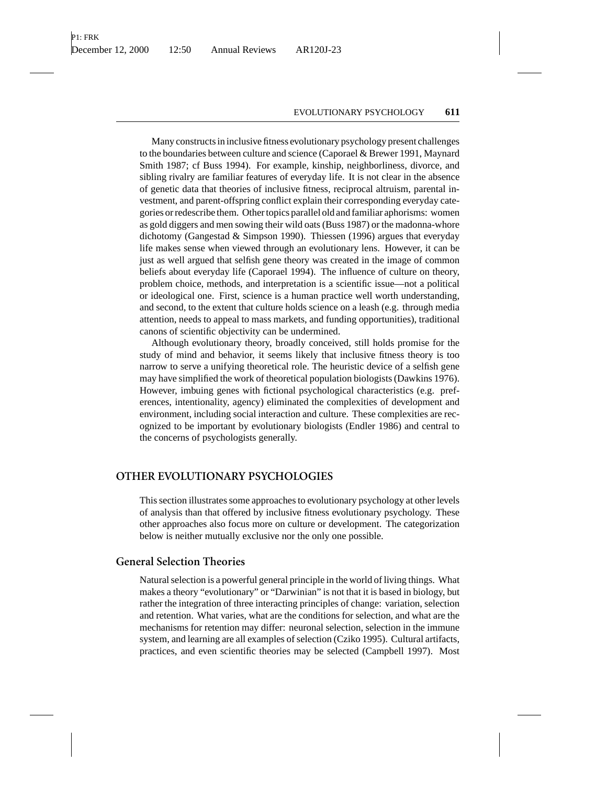Many constructs in inclusive fitness evolutionary psychology present challenges to the boundaries between culture and science (Caporael & Brewer 1991, Maynard Smith 1987; cf Buss 1994). For example, kinship, neighborliness, divorce, and sibling rivalry are familiar features of everyday life. It is not clear in the absence of genetic data that theories of inclusive fitness, reciprocal altruism, parental investment, and parent-offspring conflict explain their corresponding everyday categories or redescribe them. Other topics parallel old and familiar aphorisms: women as gold diggers and men sowing their wild oats (Buss 1987) or the madonna-whore dichotomy (Gangestad & Simpson 1990). Thiessen (1996) argues that everyday life makes sense when viewed through an evolutionary lens. However, it can be just as well argued that selfish gene theory was created in the image of common beliefs about everyday life (Caporael 1994). The influence of culture on theory, problem choice, methods, and interpretation is a scientific issue—not a political or ideological one. First, science is a human practice well worth understanding, and second, to the extent that culture holds science on a leash (e.g. through media attention, needs to appeal to mass markets, and funding opportunities), traditional canons of scientific objectivity can be undermined.

Although evolutionary theory, broadly conceived, still holds promise for the study of mind and behavior, it seems likely that inclusive fitness theory is too narrow to serve a unifying theoretical role. The heuristic device of a selfish gene may have simplified the work of theoretical population biologists (Dawkins 1976). However, imbuing genes with fictional psychological characteristics (e.g. preferences, intentionality, agency) eliminated the complexities of development and environment, including social interaction and culture. These complexities are recognized to be important by evolutionary biologists (Endler 1986) and central to the concerns of psychologists generally.

### **OTHER EVOLUTIONARY PSYCHOLOGIES**

This section illustrates some approaches to evolutionary psychology at other levels of analysis than that offered by inclusive fitness evolutionary psychology. These other approaches also focus more on culture or development. The categorization below is neither mutually exclusive nor the only one possible.

### **General Selection Theories**

Natural selection is a powerful general principle in the world of living things. What makes a theory "evolutionary" or "Darwinian" is not that it is based in biology, but rather the integration of three interacting principles of change: variation, selection and retention. What varies, what are the conditions for selection, and what are the mechanisms for retention may differ: neuronal selection, selection in the immune system, and learning are all examples of selection (Cziko 1995). Cultural artifacts, practices, and even scientific theories may be selected (Campbell 1997). Most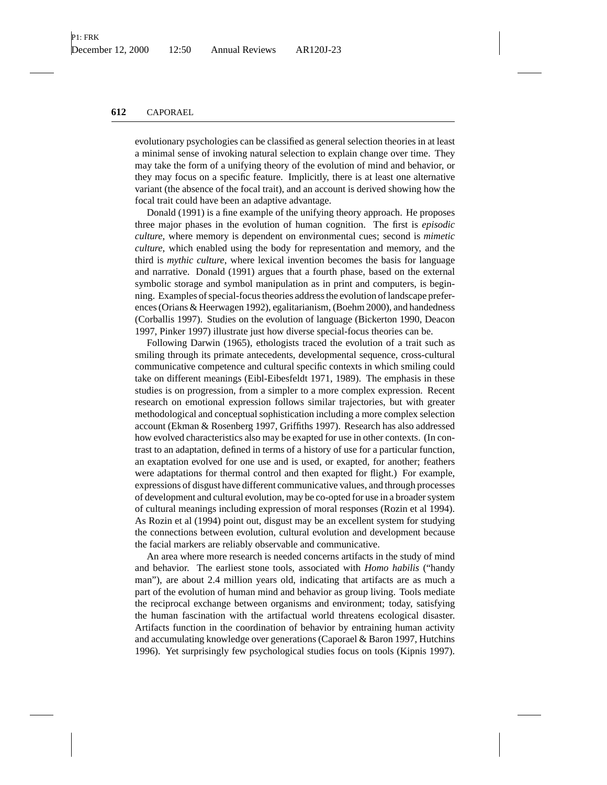evolutionary psychologies can be classified as general selection theories in at least a minimal sense of invoking natural selection to explain change over time. They may take the form of a unifying theory of the evolution of mind and behavior, or they may focus on a specific feature. Implicitly, there is at least one alternative variant (the absence of the focal trait), and an account is derived showing how the focal trait could have been an adaptive advantage.

Donald (1991) is a fine example of the unifying theory approach. He proposes three major phases in the evolution of human cognition. The first is *episodic culture*, where memory is dependent on environmental cues; second is *mimetic culture*, which enabled using the body for representation and memory, and the third is *mythic culture*, where lexical invention becomes the basis for language and narrative. Donald (1991) argues that a fourth phase, based on the external symbolic storage and symbol manipulation as in print and computers, is beginning. Examples of special-focus theories address the evolution of landscape preferences (Orians & Heerwagen 1992), egalitarianism, (Boehm 2000), and handedness (Corballis 1997). Studies on the evolution of language (Bickerton 1990, Deacon 1997, Pinker 1997) illustrate just how diverse special-focus theories can be.

Following Darwin (1965), ethologists traced the evolution of a trait such as smiling through its primate antecedents, developmental sequence, cross-cultural communicative competence and cultural specific contexts in which smiling could take on different meanings (Eibl-Eibesfeldt 1971, 1989). The emphasis in these studies is on progression, from a simpler to a more complex expression. Recent research on emotional expression follows similar trajectories, but with greater methodological and conceptual sophistication including a more complex selection account (Ekman & Rosenberg 1997, Griffiths 1997). Research has also addressed how evolved characteristics also may be exapted for use in other contexts. (In contrast to an adaptation, defined in terms of a history of use for a particular function, an exaptation evolved for one use and is used, or exapted, for another; feathers were adaptations for thermal control and then exapted for flight.) For example, expressions of disgust have different communicative values, and through processes of development and cultural evolution, may be co-opted for use in a broader system of cultural meanings including expression of moral responses (Rozin et al 1994). As Rozin et al (1994) point out, disgust may be an excellent system for studying the connections between evolution, cultural evolution and development because the facial markers are reliably observable and communicative.

An area where more research is needed concerns artifacts in the study of mind and behavior. The earliest stone tools, associated with *Homo habilis* ("handy man"), are about 2.4 million years old, indicating that artifacts are as much a part of the evolution of human mind and behavior as group living. Tools mediate the reciprocal exchange between organisms and environment; today, satisfying the human fascination with the artifactual world threatens ecological disaster. Artifacts function in the coordination of behavior by entraining human activity and accumulating knowledge over generations (Caporael & Baron 1997, Hutchins 1996). Yet surprisingly few psychological studies focus on tools (Kipnis 1997).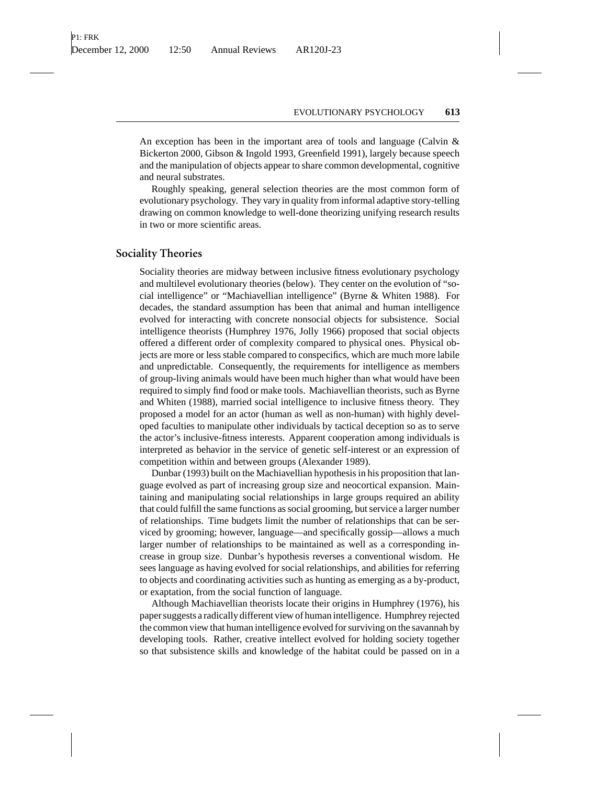An exception has been in the important area of tools and language (Calvin & Bickerton 2000, Gibson & Ingold 1993, Greenfield 1991), largely because speech and the manipulation of objects appear to share common developmental, cognitive and neural substrates.

Roughly speaking, general selection theories are the most common form of evolutionary psychology. They vary in quality from informal adaptive story-telling drawing on common knowledge to well-done theorizing unifying research results in two or more scientific areas.

## **Sociality Theories**

Sociality theories are midway between inclusive fitness evolutionary psychology and multilevel evolutionary theories (below). They center on the evolution of "social intelligence" or "Machiavellian intelligence" (Byrne & Whiten 1988). For decades, the standard assumption has been that animal and human intelligence evolved for interacting with concrete nonsocial objects for subsistence. Social intelligence theorists (Humphrey 1976, Jolly 1966) proposed that social objects offered a different order of complexity compared to physical ones. Physical objects are more or less stable compared to conspecifics, which are much more labile and unpredictable. Consequently, the requirements for intelligence as members of group-living animals would have been much higher than what would have been required to simply find food or make tools. Machiavellian theorists, such as Byrne and Whiten (1988), married social intelligence to inclusive fitness theory. They proposed a model for an actor (human as well as non-human) with highly developed faculties to manipulate other individuals by tactical deception so as to serve the actor's inclusive-fitness interests. Apparent cooperation among individuals is interpreted as behavior in the service of genetic self-interest or an expression of competition within and between groups (Alexander 1989).

Dunbar (1993) built on the Machiavellian hypothesis in his proposition that language evolved as part of increasing group size and neocortical expansion. Maintaining and manipulating social relationships in large groups required an ability that could fulfill the same functions as social grooming, but service a larger number of relationships. Time budgets limit the number of relationships that can be serviced by grooming; however, language—and specifically gossip—allows a much larger number of relationships to be maintained as well as a corresponding increase in group size. Dunbar's hypothesis reverses a conventional wisdom. He sees language as having evolved for social relationships, and abilities for referring to objects and coordinating activities such as hunting as emerging as a by-product, or exaptation, from the social function of language.

Although Machiavellian theorists locate their origins in Humphrey (1976), his paper suggests a radically different view of human intelligence. Humphrey rejected the common view that human intelligence evolved for surviving on the savannah by developing tools. Rather, creative intellect evolved for holding society together so that subsistence skills and knowledge of the habitat could be passed on in a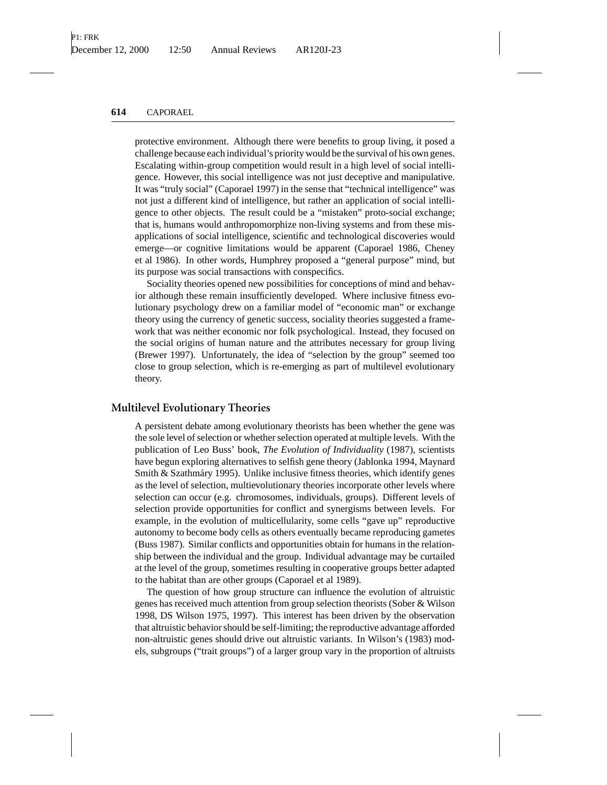protective environment. Although there were benefits to group living, it posed a challenge because each individual's priority would be the survival of his own genes. Escalating within-group competition would result in a high level of social intelligence. However, this social intelligence was not just deceptive and manipulative. It was "truly social" (Caporael 1997) in the sense that "technical intelligence" was not just a different kind of intelligence, but rather an application of social intelligence to other objects. The result could be a "mistaken" proto-social exchange; that is, humans would anthropomorphize non-living systems and from these misapplications of social intelligence, scientific and technological discoveries would emerge—or cognitive limitations would be apparent (Caporael 1986, Cheney et al 1986). In other words, Humphrey proposed a "general purpose" mind, but its purpose was social transactions with conspecifics.

Sociality theories opened new possibilities for conceptions of mind and behavior although these remain insufficiently developed. Where inclusive fitness evolutionary psychology drew on a familiar model of "economic man" or exchange theory using the currency of genetic success, sociality theories suggested a framework that was neither economic nor folk psychological. Instead, they focused on the social origins of human nature and the attributes necessary for group living (Brewer 1997). Unfortunately, the idea of "selection by the group" seemed too close to group selection, which is re-emerging as part of multilevel evolutionary theory.

#### **Multilevel Evolutionary Theories**

A persistent debate among evolutionary theorists has been whether the gene was the sole level of selection or whether selection operated at multiple levels. With the publication of Leo Buss' book, *The Evolution of Individuality* (1987), scientists have begun exploring alternatives to selfish gene theory (Jablonka 1994, Maynard Smith  $&$  Szathmáry 1995). Unlike inclusive fitness theories, which identify genes as the level of selection, multievolutionary theories incorporate other levels where selection can occur (e.g. chromosomes, individuals, groups). Different levels of selection provide opportunities for conflict and synergisms between levels. For example, in the evolution of multicellularity, some cells "gave up" reproductive autonomy to become body cells as others eventually became reproducing gametes (Buss 1987). Similar conflicts and opportunities obtain for humans in the relationship between the individual and the group. Individual advantage may be curtailed at the level of the group, sometimes resulting in cooperative groups better adapted to the habitat than are other groups (Caporael et al 1989).

The question of how group structure can influence the evolution of altruistic genes has received much attention from group selection theorists (Sober & Wilson 1998, DS Wilson 1975, 1997). This interest has been driven by the observation that altruistic behavior should be self-limiting; the reproductive advantage afforded non-altruistic genes should drive out altruistic variants. In Wilson's (1983) models, subgroups ("trait groups") of a larger group vary in the proportion of altruists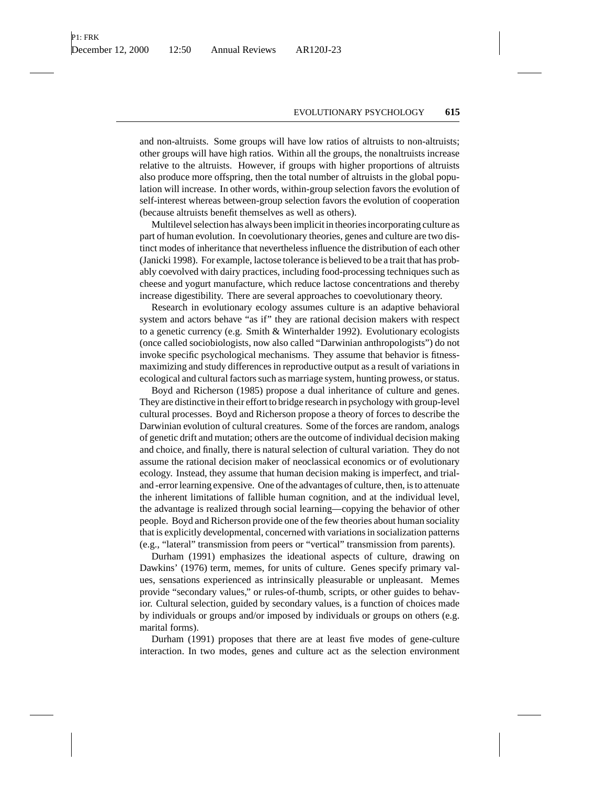and non-altruists. Some groups will have low ratios of altruists to non-altruists; other groups will have high ratios. Within all the groups, the nonaltruists increase relative to the altruists. However, if groups with higher proportions of altruists also produce more offspring, then the total number of altruists in the global population will increase. In other words, within-group selection favors the evolution of self-interest whereas between-group selection favors the evolution of cooperation (because altruists benefit themselves as well as others).

Multilevel selection has always been implicit in theories incorporating culture as part of human evolution. In coevolutionary theories, genes and culture are two distinct modes of inheritance that nevertheless influence the distribution of each other (Janicki 1998). For example, lactose tolerance is believed to be a trait that has probably coevolved with dairy practices, including food-processing techniques such as cheese and yogurt manufacture, which reduce lactose concentrations and thereby increase digestibility. There are several approaches to coevolutionary theory.

Research in evolutionary ecology assumes culture is an adaptive behavioral system and actors behave "as if" they are rational decision makers with respect to a genetic currency (e.g. Smith & Winterhalder 1992). Evolutionary ecologists (once called sociobiologists, now also called "Darwinian anthropologists") do not invoke specific psychological mechanisms. They assume that behavior is fitnessmaximizing and study differences in reproductive output as a result of variations in ecological and cultural factors such as marriage system, hunting prowess, or status.

Boyd and Richerson (1985) propose a dual inheritance of culture and genes. They are distinctive in their effort to bridge research in psychology with group-level cultural processes. Boyd and Richerson propose a theory of forces to describe the Darwinian evolution of cultural creatures. Some of the forces are random, analogs of genetic drift and mutation; others are the outcome of individual decision making and choice, and finally, there is natural selection of cultural variation. They do not assume the rational decision maker of neoclassical economics or of evolutionary ecology. Instead, they assume that human decision making is imperfect, and trialand -error learning expensive. One of the advantages of culture, then, is to attenuate the inherent limitations of fallible human cognition, and at the individual level, the advantage is realized through social learning—copying the behavior of other people. Boyd and Richerson provide one of the few theories about human sociality that is explicitly developmental, concerned with variations in socialization patterns (e.g., "lateral" transmission from peers or "vertical" transmission from parents).

Durham (1991) emphasizes the ideational aspects of culture, drawing on Dawkins' (1976) term, memes, for units of culture. Genes specify primary values, sensations experienced as intrinsically pleasurable or unpleasant. Memes provide "secondary values," or rules-of-thumb, scripts, or other guides to behavior. Cultural selection, guided by secondary values, is a function of choices made by individuals or groups and/or imposed by individuals or groups on others (e.g. marital forms).

Durham (1991) proposes that there are at least five modes of gene-culture interaction. In two modes, genes and culture act as the selection environment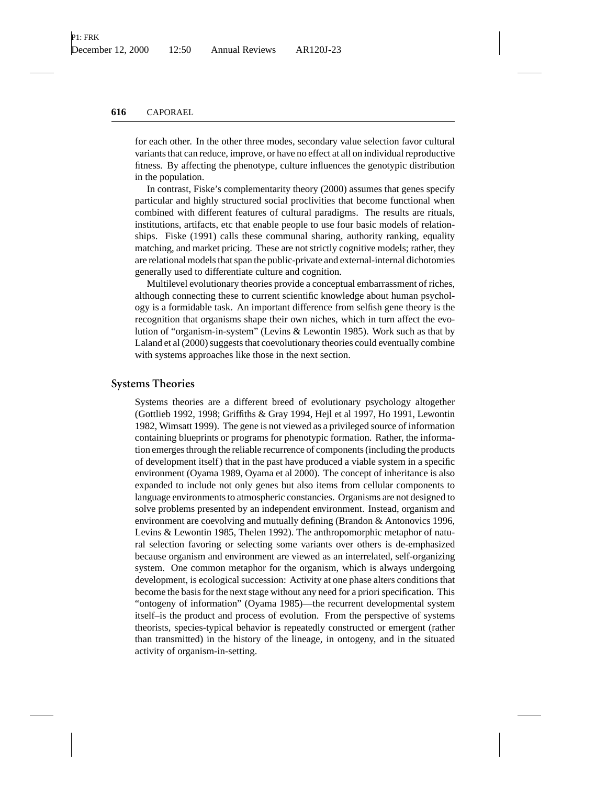for each other. In the other three modes, secondary value selection favor cultural variants that can reduce, improve, or have no effect at all on individual reproductive fitness. By affecting the phenotype, culture influences the genotypic distribution in the population.

In contrast, Fiske's complementarity theory (2000) assumes that genes specify particular and highly structured social proclivities that become functional when combined with different features of cultural paradigms. The results are rituals, institutions, artifacts, etc that enable people to use four basic models of relationships. Fiske (1991) calls these communal sharing, authority ranking, equality matching, and market pricing. These are not strictly cognitive models; rather, they are relational models that span the public-private and external-internal dichotomies generally used to differentiate culture and cognition.

Multilevel evolutionary theories provide a conceptual embarrassment of riches, although connecting these to current scientific knowledge about human psychology is a formidable task. An important difference from selfish gene theory is the recognition that organisms shape their own niches, which in turn affect the evolution of "organism-in-system" (Levins & Lewontin 1985). Work such as that by Laland et al (2000) suggests that coevolutionary theories could eventually combine with systems approaches like those in the next section.

#### **Systems Theories**

Systems theories are a different breed of evolutionary psychology altogether (Gottlieb 1992, 1998; Griffiths & Gray 1994, Hejl et al 1997, Ho 1991, Lewontin 1982, Wimsatt 1999). The gene is not viewed as a privileged source of information containing blueprints or programs for phenotypic formation. Rather, the information emerges through the reliable recurrence of components (including the products of development itself) that in the past have produced a viable system in a specific environment (Oyama 1989, Oyama et al 2000). The concept of inheritance is also expanded to include not only genes but also items from cellular components to language environments to atmospheric constancies. Organisms are not designed to solve problems presented by an independent environment. Instead, organism and environment are coevolving and mutually defining (Brandon & Antonovics 1996, Levins & Lewontin 1985, Thelen 1992). The anthropomorphic metaphor of natural selection favoring or selecting some variants over others is de-emphasized because organism and environment are viewed as an interrelated, self-organizing system. One common metaphor for the organism, which is always undergoing development, is ecological succession: Activity at one phase alters conditions that become the basis for the next stage without any need for a priori specification. This "ontogeny of information" (Oyama 1985)—the recurrent developmental system itself–is the product and process of evolution. From the perspective of systems theorists, species-typical behavior is repeatedly constructed or emergent (rather than transmitted) in the history of the lineage, in ontogeny, and in the situated activity of organism-in-setting.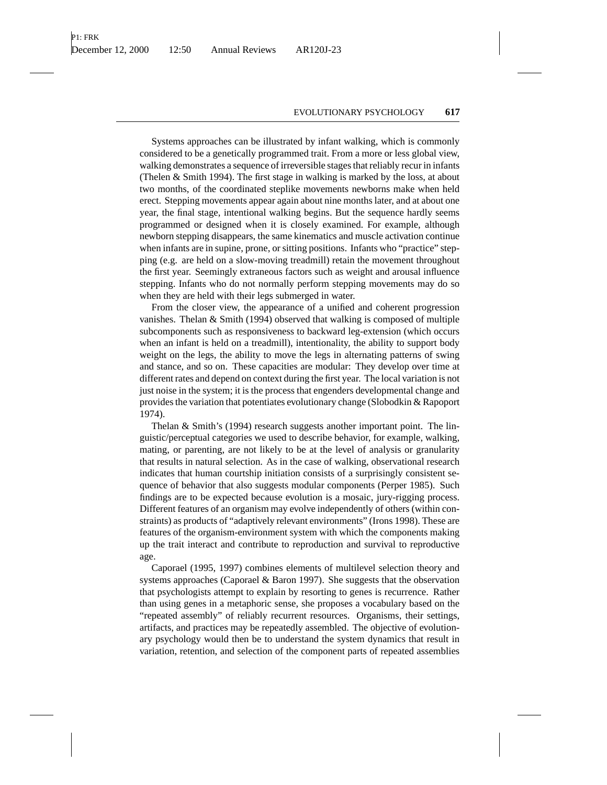Systems approaches can be illustrated by infant walking, which is commonly considered to be a genetically programmed trait. From a more or less global view, walking demonstrates a sequence of irreversible stages that reliably recur in infants (Thelen & Smith 1994). The first stage in walking is marked by the loss, at about two months, of the coordinated steplike movements newborns make when held erect. Stepping movements appear again about nine months later, and at about one year, the final stage, intentional walking begins. But the sequence hardly seems programmed or designed when it is closely examined. For example, although newborn stepping disappears, the same kinematics and muscle activation continue when infants are in supine, prone, or sitting positions. Infants who "practice" stepping (e.g. are held on a slow-moving treadmill) retain the movement throughout the first year. Seemingly extraneous factors such as weight and arousal influence stepping. Infants who do not normally perform stepping movements may do so when they are held with their legs submerged in water.

From the closer view, the appearance of a unified and coherent progression vanishes. Thelan & Smith (1994) observed that walking is composed of multiple subcomponents such as responsiveness to backward leg-extension (which occurs when an infant is held on a treadmill), intentionality, the ability to support body weight on the legs, the ability to move the legs in alternating patterns of swing and stance, and so on. These capacities are modular: They develop over time at different rates and depend on context during the first year. The local variation is not just noise in the system; it is the process that engenders developmental change and provides the variation that potentiates evolutionary change (Slobodkin & Rapoport 1974).

Thelan & Smith's (1994) research suggests another important point. The linguistic/perceptual categories we used to describe behavior, for example, walking, mating, or parenting, are not likely to be at the level of analysis or granularity that results in natural selection. As in the case of walking, observational research indicates that human courtship initiation consists of a surprisingly consistent sequence of behavior that also suggests modular components (Perper 1985). Such findings are to be expected because evolution is a mosaic, jury-rigging process. Different features of an organism may evolve independently of others (within constraints) as products of "adaptively relevant environments" (Irons 1998). These are features of the organism-environment system with which the components making up the trait interact and contribute to reproduction and survival to reproductive age.

Caporael (1995, 1997) combines elements of multilevel selection theory and systems approaches (Caporael & Baron 1997). She suggests that the observation that psychologists attempt to explain by resorting to genes is recurrence. Rather than using genes in a metaphoric sense, she proposes a vocabulary based on the "repeated assembly" of reliably recurrent resources. Organisms, their settings, artifacts, and practices may be repeatedly assembled. The objective of evolutionary psychology would then be to understand the system dynamics that result in variation, retention, and selection of the component parts of repeated assemblies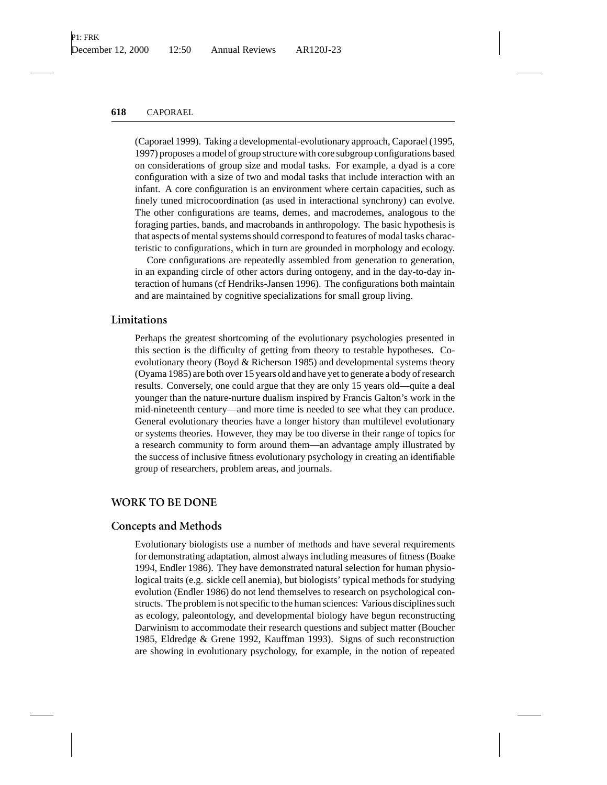(Caporael 1999). Taking a developmental-evolutionary approach, Caporael (1995, 1997) proposes a model of group structure with core subgroup configurations based on considerations of group size and modal tasks. For example, a dyad is a core configuration with a size of two and modal tasks that include interaction with an infant. A core configuration is an environment where certain capacities, such as finely tuned microcoordination (as used in interactional synchrony) can evolve. The other configurations are teams, demes, and macrodemes, analogous to the foraging parties, bands, and macrobands in anthropology. The basic hypothesis is that aspects of mental systems should correspond to features of modal tasks characteristic to configurations, which in turn are grounded in morphology and ecology.

Core configurations are repeatedly assembled from generation to generation, in an expanding circle of other actors during ontogeny, and in the day-to-day interaction of humans (cf Hendriks-Jansen 1996). The configurations both maintain and are maintained by cognitive specializations for small group living.

## **Limitations**

Perhaps the greatest shortcoming of the evolutionary psychologies presented in this section is the difficulty of getting from theory to testable hypotheses. Coevolutionary theory (Boyd & Richerson 1985) and developmental systems theory (Oyama 1985) are both over 15 years old and have yet to generate a body of research results. Conversely, one could argue that they are only 15 years old—quite a deal younger than the nature-nurture dualism inspired by Francis Galton's work in the mid-nineteenth century—and more time is needed to see what they can produce. General evolutionary theories have a longer history than multilevel evolutionary or systems theories. However, they may be too diverse in their range of topics for a research community to form around them—an advantage amply illustrated by the success of inclusive fitness evolutionary psychology in creating an identifiable group of researchers, problem areas, and journals.

## **WORK TO BE DONE**

#### **Concepts and Methods**

Evolutionary biologists use a number of methods and have several requirements for demonstrating adaptation, almost always including measures of fitness (Boake 1994, Endler 1986). They have demonstrated natural selection for human physiological traits (e.g. sickle cell anemia), but biologists' typical methods for studying evolution (Endler 1986) do not lend themselves to research on psychological constructs. The problem is not specific to the human sciences: Various disciplines such as ecology, paleontology, and developmental biology have begun reconstructing Darwinism to accommodate their research questions and subject matter (Boucher 1985, Eldredge & Grene 1992, Kauffman 1993). Signs of such reconstruction are showing in evolutionary psychology, for example, in the notion of repeated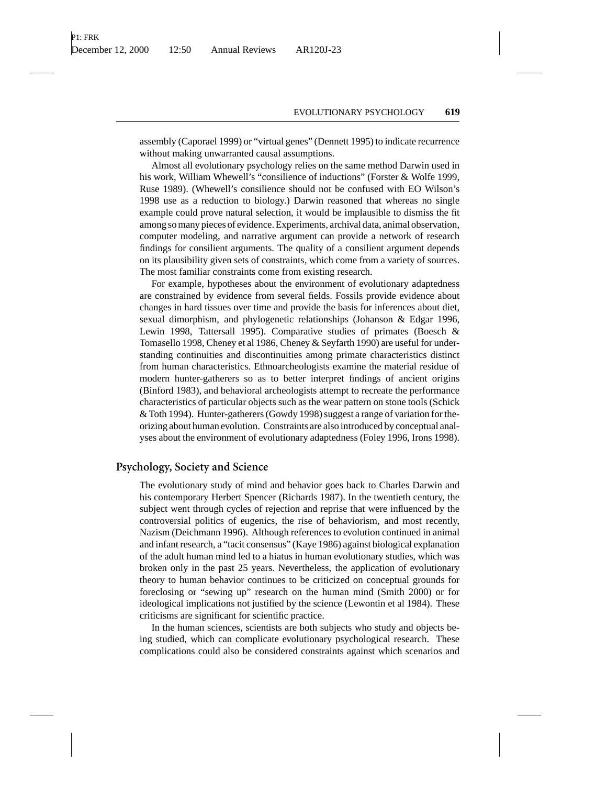assembly (Caporael 1999) or "virtual genes" (Dennett 1995) to indicate recurrence without making unwarranted causal assumptions.

Almost all evolutionary psychology relies on the same method Darwin used in his work, William Whewell's "consilience of inductions" (Forster & Wolfe 1999, Ruse 1989). (Whewell's consilience should not be confused with EO Wilson's 1998 use as a reduction to biology.) Darwin reasoned that whereas no single example could prove natural selection, it would be implausible to dismiss the fit among so many pieces of evidence. Experiments, archival data, animal observation, computer modeling, and narrative argument can provide a network of research findings for consilient arguments. The quality of a consilient argument depends on its plausibility given sets of constraints, which come from a variety of sources. The most familiar constraints come from existing research.

For example, hypotheses about the environment of evolutionary adaptedness are constrained by evidence from several fields. Fossils provide evidence about changes in hard tissues over time and provide the basis for inferences about diet, sexual dimorphism, and phylogenetic relationships (Johanson & Edgar 1996, Lewin 1998, Tattersall 1995). Comparative studies of primates (Boesch & Tomasello 1998, Cheney et al 1986, Cheney & Seyfarth 1990) are useful for understanding continuities and discontinuities among primate characteristics distinct from human characteristics. Ethnoarcheologists examine the material residue of modern hunter-gatherers so as to better interpret findings of ancient origins (Binford 1983), and behavioral archeologists attempt to recreate the performance characteristics of particular objects such as the wear pattern on stone tools (Schick & Toth 1994). Hunter-gatherers (Gowdy 1998) suggest a range of variation for theorizing about human evolution. Constraints are also introduced by conceptual analyses about the environment of evolutionary adaptedness (Foley 1996, Irons 1998).

## **Psychology, Society and Science**

The evolutionary study of mind and behavior goes back to Charles Darwin and his contemporary Herbert Spencer (Richards 1987). In the twentieth century, the subject went through cycles of rejection and reprise that were influenced by the controversial politics of eugenics, the rise of behaviorism, and most recently, Nazism (Deichmann 1996). Although references to evolution continued in animal and infant research, a "tacit consensus" (Kaye 1986) against biological explanation of the adult human mind led to a hiatus in human evolutionary studies, which was broken only in the past 25 years. Nevertheless, the application of evolutionary theory to human behavior continues to be criticized on conceptual grounds for foreclosing or "sewing up" research on the human mind (Smith 2000) or for ideological implications not justified by the science (Lewontin et al 1984). These criticisms are significant for scientific practice.

In the human sciences, scientists are both subjects who study and objects being studied, which can complicate evolutionary psychological research. These complications could also be considered constraints against which scenarios and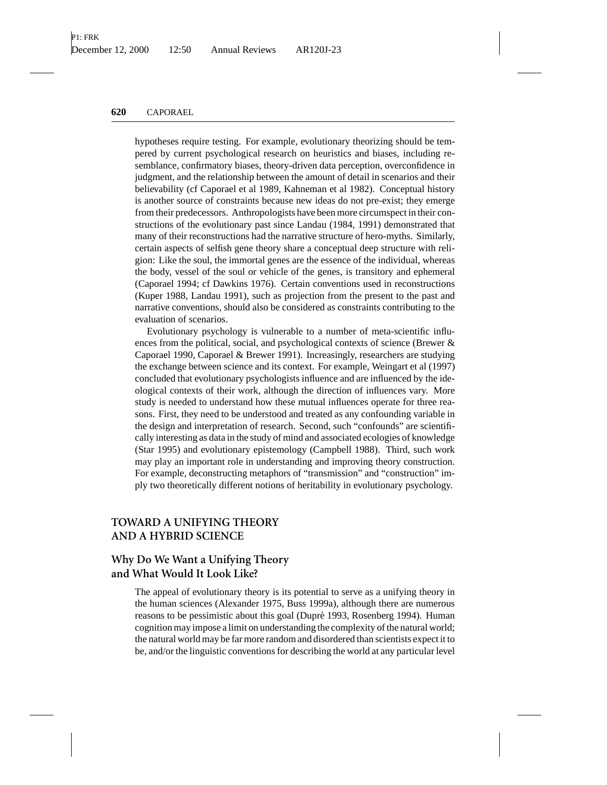hypotheses require testing. For example, evolutionary theorizing should be tempered by current psychological research on heuristics and biases, including resemblance, confirmatory biases, theory-driven data perception, overconfidence in judgment, and the relationship between the amount of detail in scenarios and their believability (cf Caporael et al 1989, Kahneman et al 1982). Conceptual history is another source of constraints because new ideas do not pre-exist; they emerge from their predecessors. Anthropologists have been more circumspect in their constructions of the evolutionary past since Landau (1984, 1991) demonstrated that many of their reconstructions had the narrative structure of hero-myths. Similarly, certain aspects of selfish gene theory share a conceptual deep structure with religion: Like the soul, the immortal genes are the essence of the individual, whereas the body, vessel of the soul or vehicle of the genes, is transitory and ephemeral (Caporael 1994; cf Dawkins 1976). Certain conventions used in reconstructions (Kuper 1988, Landau 1991), such as projection from the present to the past and narrative conventions, should also be considered as constraints contributing to the evaluation of scenarios.

Evolutionary psychology is vulnerable to a number of meta-scientific influences from the political, social, and psychological contexts of science (Brewer & Caporael 1990, Caporael & Brewer 1991). Increasingly, researchers are studying the exchange between science and its context. For example, Weingart et al (1997) concluded that evolutionary psychologists influence and are influenced by the ideological contexts of their work, although the direction of influences vary. More study is needed to understand how these mutual influences operate for three reasons. First, they need to be understood and treated as any confounding variable in the design and interpretation of research. Second, such "confounds" are scientifically interesting as data in the study of mind and associated ecologies of knowledge (Star 1995) and evolutionary epistemology (Campbell 1988). Third, such work may play an important role in understanding and improving theory construction. For example, deconstructing metaphors of "transmission" and "construction" imply two theoretically different notions of heritability in evolutionary psychology.

# **TOWARD A UNIFYING THEORY AND A HYBRID SCIENCE**

# **Why Do We Want a Unifying Theory and What Would It Look Like?**

The appeal of evolutionary theory is its potential to serve as a unifying theory in the human sciences (Alexander 1975, Buss 1999a), although there are numerous reasons to be pessimistic about this goal (Dupré 1993, Rosenberg 1994). Human cognition may impose a limit on understanding the complexity of the natural world; the natural world may be far more random and disordered than scientists expect it to be, and/or the linguistic conventions for describing the world at any particular level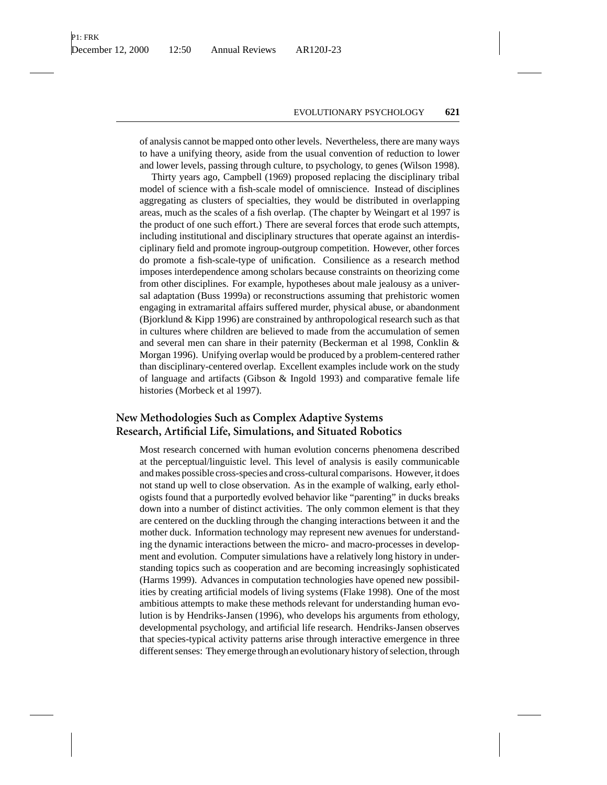of analysis cannot be mapped onto other levels. Nevertheless, there are many ways to have a unifying theory, aside from the usual convention of reduction to lower and lower levels, passing through culture, to psychology, to genes (Wilson 1998).

Thirty years ago, Campbell (1969) proposed replacing the disciplinary tribal model of science with a fish-scale model of omniscience. Instead of disciplines aggregating as clusters of specialties, they would be distributed in overlapping areas, much as the scales of a fish overlap. (The chapter by Weingart et al 1997 is the product of one such effort.) There are several forces that erode such attempts, including institutional and disciplinary structures that operate against an interdisciplinary field and promote ingroup-outgroup competition. However, other forces do promote a fish-scale-type of unification. Consilience as a research method imposes interdependence among scholars because constraints on theorizing come from other disciplines. For example, hypotheses about male jealousy as a universal adaptation (Buss 1999a) or reconstructions assuming that prehistoric women engaging in extramarital affairs suffered murder, physical abuse, or abandonment (Bjorklund & Kipp 1996) are constrained by anthropological research such as that in cultures where children are believed to made from the accumulation of semen and several men can share in their paternity (Beckerman et al 1998, Conklin & Morgan 1996). Unifying overlap would be produced by a problem-centered rather than disciplinary-centered overlap. Excellent examples include work on the study of language and artifacts (Gibson & Ingold 1993) and comparative female life histories (Morbeck et al 1997).

# **New Methodologies Such as Complex Adaptive Systems Research, Artificial Life, Simulations, and Situated Robotics**

Most research concerned with human evolution concerns phenomena described at the perceptual/linguistic level. This level of analysis is easily communicable and makes possible cross-species and cross-cultural comparisons. However, it does not stand up well to close observation. As in the example of walking, early ethologists found that a purportedly evolved behavior like "parenting" in ducks breaks down into a number of distinct activities. The only common element is that they are centered on the duckling through the changing interactions between it and the mother duck. Information technology may represent new avenues for understanding the dynamic interactions between the micro- and macro-processes in development and evolution. Computer simulations have a relatively long history in understanding topics such as cooperation and are becoming increasingly sophisticated (Harms 1999). Advances in computation technologies have opened new possibilities by creating artificial models of living systems (Flake 1998). One of the most ambitious attempts to make these methods relevant for understanding human evolution is by Hendriks-Jansen (1996), who develops his arguments from ethology, developmental psychology, and artificial life research. Hendriks-Jansen observes that species-typical activity patterns arise through interactive emergence in three different senses: They emerge through an evolutionary history of selection, through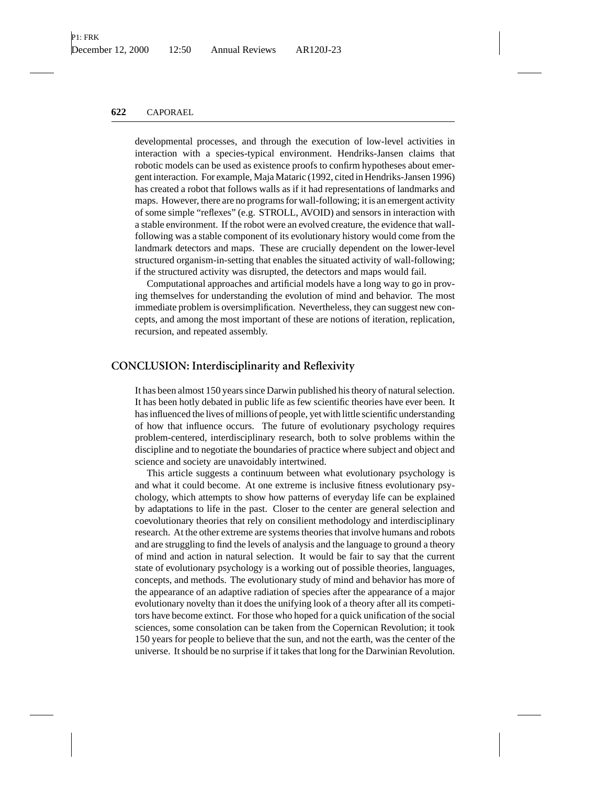developmental processes, and through the execution of low-level activities in interaction with a species-typical environment. Hendriks-Jansen claims that robotic models can be used as existence proofs to confirm hypotheses about emergent interaction. For example, Maja Mataric (1992, cited in Hendriks-Jansen 1996) has created a robot that follows walls as if it had representations of landmarks and maps. However, there are no programs for wall-following; it is an emergent activity of some simple "reflexes" (e.g. STROLL, AVOID) and sensors in interaction with a stable environment. If the robot were an evolved creature, the evidence that wallfollowing was a stable component of its evolutionary history would come from the landmark detectors and maps. These are crucially dependent on the lower-level structured organism-in-setting that enables the situated activity of wall-following; if the structured activity was disrupted, the detectors and maps would fail.

Computational approaches and artificial models have a long way to go in proving themselves for understanding the evolution of mind and behavior. The most immediate problem is oversimplification. Nevertheless, they can suggest new concepts, and among the most important of these are notions of iteration, replication, recursion, and repeated assembly.

## **CONCLUSION: Interdisciplinarity and Reflexivity**

It has been almost 150 years since Darwin published his theory of natural selection. It has been hotly debated in public life as few scientific theories have ever been. It has influenced the lives of millions of people, yet with little scientific understanding of how that influence occurs. The future of evolutionary psychology requires problem-centered, interdisciplinary research, both to solve problems within the discipline and to negotiate the boundaries of practice where subject and object and science and society are unavoidably intertwined.

This article suggests a continuum between what evolutionary psychology is and what it could become. At one extreme is inclusive fitness evolutionary psychology, which attempts to show how patterns of everyday life can be explained by adaptations to life in the past. Closer to the center are general selection and coevolutionary theories that rely on consilient methodology and interdisciplinary research. At the other extreme are systems theories that involve humans and robots and are struggling to find the levels of analysis and the language to ground a theory of mind and action in natural selection. It would be fair to say that the current state of evolutionary psychology is a working out of possible theories, languages, concepts, and methods. The evolutionary study of mind and behavior has more of the appearance of an adaptive radiation of species after the appearance of a major evolutionary novelty than it does the unifying look of a theory after all its competitors have become extinct. For those who hoped for a quick unification of the social sciences, some consolation can be taken from the Copernican Revolution; it took 150 years for people to believe that the sun, and not the earth, was the center of the universe. It should be no surprise if it takes that long for the Darwinian Revolution.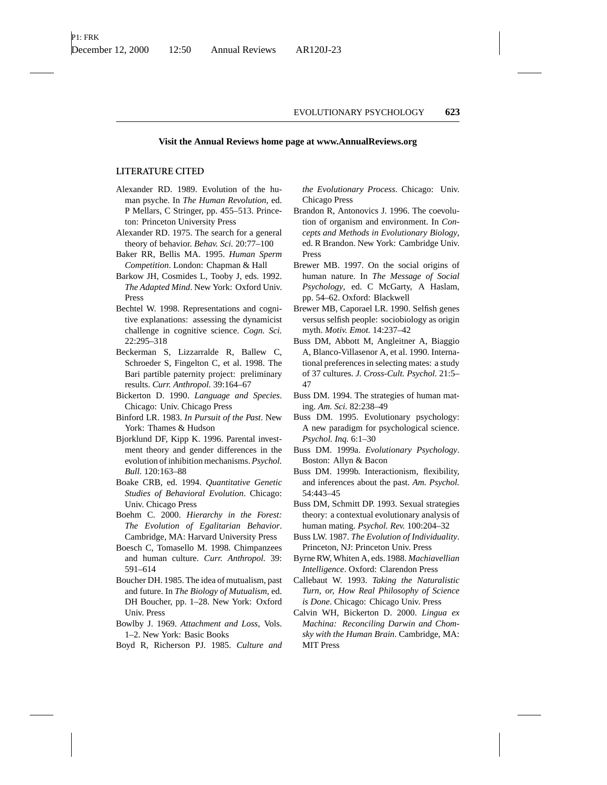#### **Visit the Annual Reviews home page at www.AnnualReviews.org**

#### **LITERATURE CITED**

- Alexander RD. 1989. Evolution of the human psyche. In *The Human Revolution*, ed. P Mellars, C Stringer, pp. 455–513. Princeton: Princeton University Press
- Alexander RD. 1975. The search for a general theory of behavior. *Behav. Sci.* 20:77–100
- Baker RR, Bellis MA. 1995. *Human Sperm Competition*. London: Chapman & Hall
- Barkow JH, Cosmides L, Tooby J, eds. 1992. *The Adapted Mind*. New York: Oxford Univ. Press
- Bechtel W. 1998. Representations and cognitive explanations: assessing the dynamicist challenge in cognitive science. *Cogn. Sci.* 22:295–318
- Beckerman S, Lizzarralde R, Ballew C, Schroeder S, Fingelton C, et al. 1998. The Bari partible paternity project: preliminary results. *Curr. Anthropol.* 39:164–67
- Bickerton D. 1990. *Language and Species*. Chicago: Univ. Chicago Press
- Binford LR. 1983. *In Pursuit of the Past*. New York: Thames & Hudson
- Bjorklund DF, Kipp K. 1996. Parental investment theory and gender differences in the evolution of inhibition mechanisms. *Psychol. Bull.* 120:163–88
- Boake CRB, ed. 1994. *Quantitative Genetic Studies of Behavioral Evolution*. Chicago: Univ. Chicago Press
- Boehm C. 2000. *Hierarchy in the Forest: The Evolution of Egalitarian Behavior*. Cambridge, MA: Harvard University Press
- Boesch C, Tomasello M. 1998. Chimpanzees and human culture. *Curr. Anthropol.* 39: 591–614
- Boucher DH. 1985. The idea of mutualism, past and future. In *The Biology of Mutualism*, ed. DH Boucher, pp. 1–28. New York: Oxford Univ. Press
- Bowlby J. 1969. *Attachment and Loss*, Vols. 1–2. New York: Basic Books
- Boyd R, Richerson PJ. 1985. *Culture and*

*the Evolutionary Process*. Chicago: Univ. Chicago Press

- Brandon R, Antonovics J. 1996. The coevolution of organism and environment. In *Concepts and Methods in Evolutionary Biology*, ed. R Brandon. New York: Cambridge Univ. Press
- Brewer MB. 1997. On the social origins of human nature. In *The Message of Social Psychology*, ed. C McGarty, A Haslam, pp. 54–62. Oxford: Blackwell
- Brewer MB, Caporael LR. 1990. Selfish genes versus selfish people: sociobiology as origin myth. *Motiv. Emot.* 14:237–42
- Buss DM, Abbott M, Angleitner A, Biaggio A, Blanco-Villasenor A, et al. 1990. International preferences in selecting mates: a study of 37 cultures. *J. Cross-Cult. Psychol.* 21:5– 47
- Buss DM. 1994. The strategies of human mating. *Am. Sci.* 82:238–49
- Buss DM. 1995. Evolutionary psychology: A new paradigm for psychological science. *Psychol. Inq.* 6:1–30
- Buss DM. 1999a. *Evolutionary Psychology*. Boston: Allyn & Bacon
- Buss DM. 1999b. Interactionism, flexibility, and inferences about the past. *Am. Psychol.* 54:443–45
- Buss DM, Schmitt DP. 1993. Sexual strategies theory: a contextual evolutionary analysis of human mating. *Psychol. Rev.* 100:204–32
- Buss LW. 1987. *The Evolution of Individuality*. Princeton, NJ: Princeton Univ. Press
- Byrne RW, Whiten A, eds. 1988. *Machiavellian Intelligence*. Oxford: Clarendon Press
- Callebaut W. 1993. *Taking the Naturalistic Turn, or, How Real Philosophy of Science is Done*. Chicago: Chicago Univ. Press
- Calvin WH, Bickerton D. 2000. *Lingua ex Machina: Reconciling Darwin and Chomsky with the Human Brain*. Cambridge, MA: MIT Press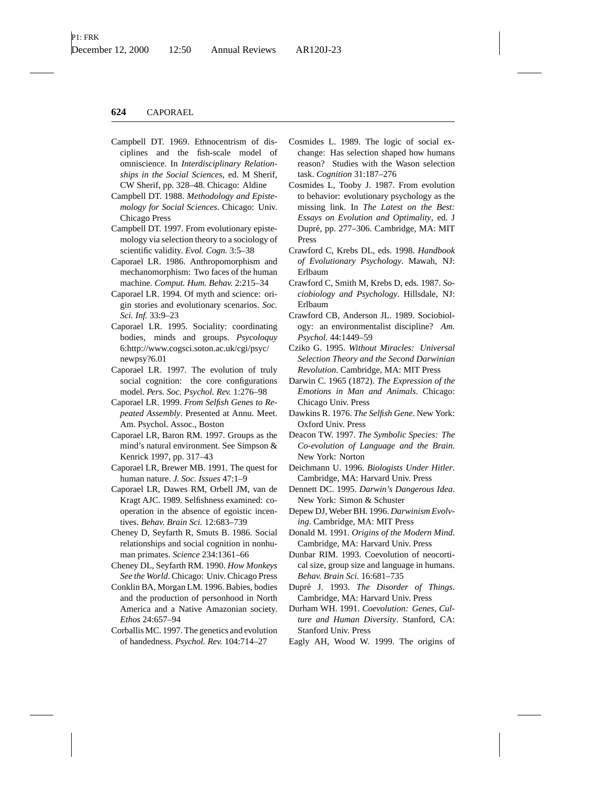- Campbell DT. 1969. Ethnocentrism of disciplines and the fish-scale model of omniscience. In *Interdisciplinary Relationships in the Social Sciences*, ed. M Sherif, CW Sherif, pp. 328–48. Chicago: Aldine
- Campbell DT. 1988. *Methodology and Epistemology for Social Sciences*. Chicago: Univ. Chicago Press
- Campbell DT. 1997. From evolutionary epistemology via selection theory to a sociology of scientific validity. *Evol. Cogn.* 3:5–38
- Caporael LR. 1986. Anthropomorphism and mechanomorphism: Two faces of the human machine. *Comput. Hum. Behav.* 2:215–34
- Caporael LR. 1994. Of myth and science: origin stories and evolutionary scenarios. *Soc. Sci. Inf.* 33:9–23
- Caporael LR. 1995. Sociality: coordinating bodies, minds and groups. *Psycoloquy* 6:http://www.cogsci.soton.ac.uk/cgi/psyc/ newpsy?6.01
- Caporael LR. 1997. The evolution of truly social cognition: the core configurations model. *Pers. Soc. Psychol. Rev.* 1:276–98
- Caporael LR. 1999. *From Selfish Genes to Repeated Assembly*. Presented at Annu. Meet. Am. Psychol. Assoc., Boston
- Caporael LR, Baron RM. 1997. Groups as the mind's natural environment. See Simpson & Kenrick 1997, pp. 317–43
- Caporael LR, Brewer MB. 1991. The quest for human nature. *J. Soc. Issues* 47:1–9
- Caporael LR, Dawes RM, Orbell JM, van de Kragt AJC. 1989. Selfishness examined: cooperation in the absence of egoistic incentives. *Behav. Brain Sci.* 12:683–739
- Cheney D, Seyfarth R, Smuts B. 1986. Social relationships and social cognition in nonhuman primates. *Science* 234:1361–66
- Cheney DL, Seyfarth RM. 1990. *How Monkeys See the World*. Chicago: Univ. Chicago Press
- Conklin BA, Morgan LM. 1996. Babies, bodies and the production of personhood in North America and a Native Amazonian society. *Ethos* 24:657–94
- Corballis MC. 1997. The genetics and evolution of handedness. *Psychol. Rev.* 104:714–27
- Cosmides L. 1989. The logic of social exchange: Has selection shaped how humans reason? Studies with the Wason selection task. *Cognition* 31:187–276
- Cosmides L, Tooby J. 1987. From evolution to behavior: evolutionary psychology as the missing link. In *The Latest on the Best: Essays on Evolution and Optimality*, ed. J Dupré, pp. 277–306. Cambridge, MA: MIT Press
- Crawford C, Krebs DL, eds. 1998. *Handbook of Evolutionary Psychology*. Mawah, NJ: Erlbaum
- Crawford C, Smith M, Krebs D, eds. 1987. *Sociobiology and Psychology*. Hillsdale, NJ: Erlbaum
- Crawford CB, Anderson JL. 1989. Sociobiology: an environmentalist discipline? *Am. Psychol.* 44:1449–59
- Cziko G. 1995. *Without Miracles: Universal Selection Theory and the Second Darwinian Revolution*. Cambridge, MA: MIT Press
- Darwin C. 1965 (1872). *The Expression of the Emotions in Man and Animals*. Chicago: Chicago Univ. Press
- Dawkins R. 1976. *The Selfish Gene*. New York: Oxford Univ. Press
- Deacon TW. 1997. *The Symbolic Species: The Co-evolution of Language and the Brain*. New York: Norton
- Deichmann U. 1996. *Biologists Under Hitler*. Cambridge, MA: Harvard Univ. Press
- Dennett DC. 1995. *Darwin's Dangerous Idea*. New York: Simon & Schuster
- Depew DJ, Weber BH. 1996. *Darwinism Evolving*. Cambridge, MA: MIT Press
- Donald M. 1991. *Origins of the Modern Mind*. Cambridge, MA: Harvard Univ. Press
- Dunbar RIM. 1993. Coevolution of neocortical size, group size and language in humans. *Behav. Brain Sci.* 16:681–735
- Dupr´e J. 1993. *The Disorder of Things*. Cambridge, MA: Harvard Univ. Press
- Durham WH. 1991. *Coevolution: Genes, Culture and Human Diversity*. Stanford, CA: Stanford Univ. Press
- Eagly AH, Wood W. 1999. The origins of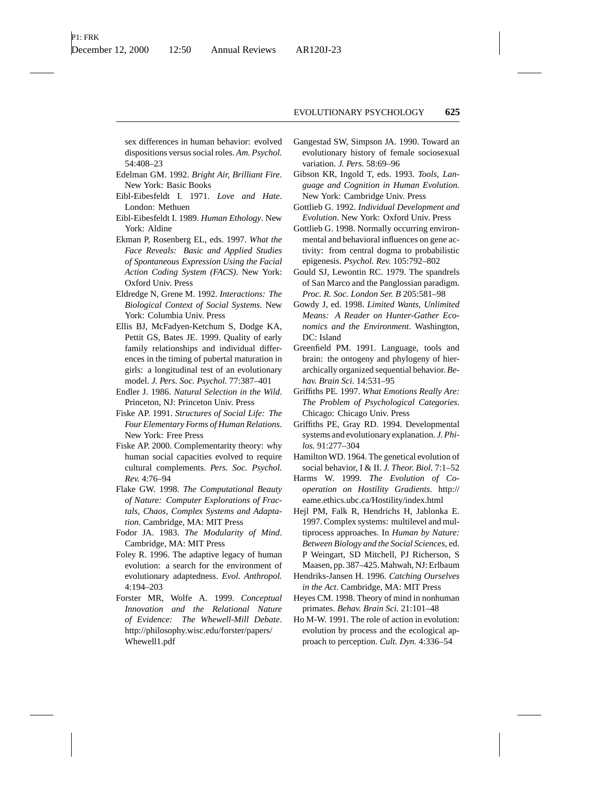sex differences in human behavior: evolved dispositions versus social roles. *Am. Psychol.* 54:408–23

- Edelman GM. 1992. *Bright Air, Brilliant Fire*. New York: Basic Books
- Eibl-Eibesfeldt I. 1971. *Love and Hate*. London: Methuen
- Eibl-Eibesfeldt I. 1989. *Human Ethology*. New York: Aldine
- Ekman P, Rosenberg EL, eds. 1997. *What the Face Reveals: Basic and Applied Studies of Spontaneous Expression Using the Facial Action Coding System (FACS)*. New York: Oxford Univ. Press
- Eldredge N, Grene M. 1992. *Interactions: The Biological Context of Social Systems*. New York: Columbia Univ. Press
- Ellis BJ, McFadyen-Ketchum S, Dodge KA, Pettit GS, Bates JE. 1999. Quality of early family relationships and individual differences in the timing of pubertal maturation in girls: a longitudinal test of an evolutionary model. *J. Pers. Soc. Psychol.* 77:387–401
- Endler J. 1986. *Natural Selection in the Wild*. Princeton, NJ: Princeton Univ. Press
- Fiske AP. 1991. *Structures of Social Life: The Four Elementary Forms of Human Relations*. New York: Free Press
- Fiske AP. 2000. Complementarity theory: why human social capacities evolved to require cultural complements. *Pers. Soc. Psychol. Rev.* 4:76–94
- Flake GW. 1998. *The Computational Beauty of Nature: Computer Explorations of Fractals, Chaos, Complex Systems and Adaptation*. Cambridge, MA: MIT Press
- Fodor JA. 1983. *The Modularity of Mind*. Cambridge, MA: MIT Press
- Foley R. 1996. The adaptive legacy of human evolution: a search for the environment of evolutionary adaptedness. *Evol. Anthropol.* 4:194–203
- Forster MR, Wolfe A. 1999. *Conceptual Innovation and the Relational Nature of Evidence: The Whewell-Mill Debate*. http://philosophy.wisc.edu/forster/papers/ Whewell1.pdf
- Gangestad SW, Simpson JA. 1990. Toward an evolutionary history of female sociosexual variation. *J. Pers.* 58:69–96
- Gibson KR, Ingold T, eds. 1993. *Tools, Language and Cognition in Human Evolution*. New York: Cambridge Univ. Press
- Gottlieb G. 1992. *Individual Development and Evolution*. New York: Oxford Univ. Press
- Gottlieb G. 1998. Normally occurring environmental and behavioral influences on gene activity: from central dogma to probabilistic epigenesis. *Psychol. Rev.* 105:792–802
- Gould SJ, Lewontin RC. 1979. The spandrels of San Marco and the Panglossian paradigm. *Proc. R. Soc. London Ser. B* 205:581–98
- Gowdy J, ed. 1998. *Limited Wants, Unlimited Means: A Reader on Hunter-Gather Economics and the Environment*. Washington, DC: Island
- Greenfield PM. 1991. Language, tools and brain: the ontogeny and phylogeny of hierarchically organized sequential behavior. *Behav. Brain Sci.* 14:531–95
- Griffiths PE. 1997. *What Emotions Really Are: The Problem of Psychological Categories*. Chicago: Chicago Univ. Press
- Griffiths PE, Gray RD. 1994. Developmental systems and evolutionary explanation. *J. Philos.* 91:277–304
- Hamilton WD. 1964. The genetical evolution of social behavior, I & II. *J. Theor. Biol.* 7:1–52
- Harms W. 1999. *The Evolution of Cooperation on Hostility Gradients*. http:// eame.ethics.ubc.ca/Hostility/index.html
- Hejl PM, Falk R, Hendrichs H, Jablonka E. 1997. Complex systems: multilevel and multiprocess approaches. In *Human by Nature: Between Biology and the Social Sciences*, ed. P Weingart, SD Mitchell, PJ Richerson, S Maasen, pp. 387–425. Mahwah, NJ: Erlbaum
- Hendriks-Jansen H. 1996. *Catching Ourselves in the Act*. Cambridge, MA: MIT Press
- Heyes CM. 1998. Theory of mind in nonhuman primates. *Behav. Brain Sci.* 21:101–48
- Ho M-W. 1991. The role of action in evolution: evolution by process and the ecological approach to perception. *Cult. Dyn.* 4:336–54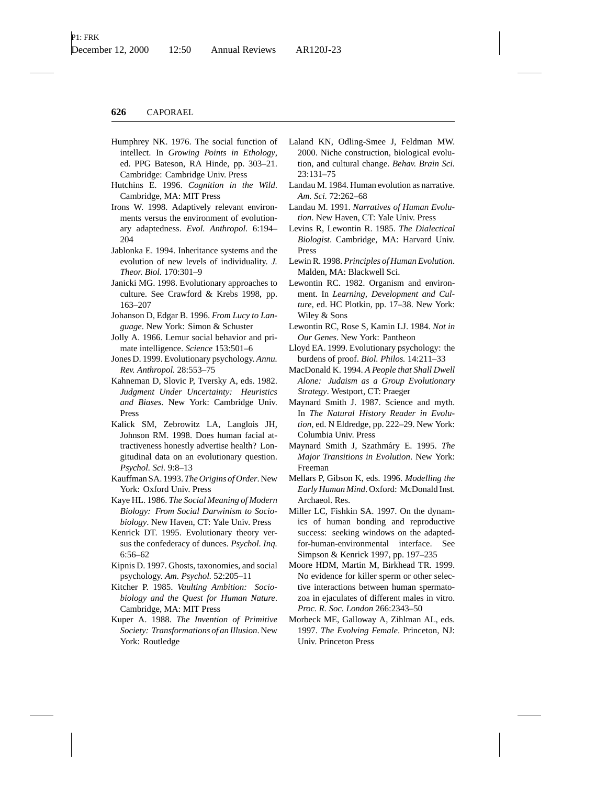- Humphrey NK. 1976. The social function of intellect. In *Growing Points in Ethology*, ed. PPG Bateson, RA Hinde, pp. 303–21. Cambridge: Cambridge Univ. Press
- Hutchins E. 1996. *Cognition in the Wild*. Cambridge, MA: MIT Press
- Irons W. 1998. Adaptively relevant environments versus the environment of evolutionary adaptedness. *Evol. Anthropol.* 6:194– 204
- Jablonka E. 1994. Inheritance systems and the evolution of new levels of individuality. *J. Theor. Biol.* 170:301–9
- Janicki MG. 1998. Evolutionary approaches to culture. See Crawford & Krebs 1998, pp. 163–207
- Johanson D, Edgar B. 1996. *From Lucy to Language*. New York: Simon & Schuster
- Jolly A. 1966. Lemur social behavior and primate intelligence. *Science* 153:501–6
- Jones D. 1999. Evolutionary psychology. *Annu. Rev. Anthropol.* 28:553–75
- Kahneman D, Slovic P, Tversky A, eds. 1982. *Judgment Under Uncertainty: Heuristics and Biases*. New York: Cambridge Univ. Press
- Kalick SM, Zebrowitz LA, Langlois JH, Johnson RM. 1998. Does human facial attractiveness honestly advertise health? Longitudinal data on an evolutionary question. *Psychol. Sci.* 9:8–13
- Kauffman SA. 1993. *The Origins of Order*. New York: Oxford Univ. Press
- Kaye HL. 1986. *The Social Meaning of Modern Biology: From Social Darwinism to Sociobiology*. New Haven, CT: Yale Univ. Press
- Kenrick DT. 1995. Evolutionary theory versus the confederacy of dunces. *Psychol. Inq.* 6:56–62
- Kipnis D. 1997. Ghosts, taxonomies, and social psychology. *Am. Psychol.* 52:205–11
- Kitcher P. 1985. *Vaulting Ambition: Sociobiology and the Quest for Human Nature*. Cambridge, MA: MIT Press
- Kuper A. 1988. *The Invention of Primitive Society: Transformations of an Illusion*. New York: Routledge
- Laland KN, Odling-Smee J, Feldman MW. 2000. Niche construction, biological evolution, and cultural change. *Behav. Brain Sci.* 23:131–75
- Landau M. 1984. Human evolution as narrative. *Am. Sci.* 72:262–68
- Landau M. 1991. *Narratives of Human Evolution*. New Haven, CT: Yale Univ. Press
- Levins R, Lewontin R. 1985. *The Dialectical Biologist*. Cambridge, MA: Harvard Univ. Press
- Lewin R. 1998. *Principles of Human Evolution*. Malden, MA: Blackwell Sci.
- Lewontin RC. 1982. Organism and environment. In *Learning, Development and Culture*, ed. HC Plotkin, pp. 17–38. New York: Wiley & Sons
- Lewontin RC, Rose S, Kamin LJ. 1984. *Not in Our Genes*. New York: Pantheon
- Lloyd EA. 1999. Evolutionary psychology: the burdens of proof. *Biol. Philos.* 14:211–33
- MacDonald K. 1994. *A People that Shall Dwell Alone: Judaism as a Group Evolutionary Strategy*. Westport, CT: Praeger
- Maynard Smith J. 1987. Science and myth. In *The Natural History Reader in Evolution*, ed. N Eldredge, pp. 222–29. New York: Columbia Univ. Press
- Maynard Smith J, Szathm´ary E. 1995. *The Major Transitions in Evolution*. New York: Freeman
- Mellars P, Gibson K, eds. 1996. *Modelling the Early Human Mind*. Oxford: McDonald Inst. Archaeol. Res.
- Miller LC, Fishkin SA. 1997. On the dynamics of human bonding and reproductive success: seeking windows on the adaptedfor-human-environmental interface. See Simpson & Kenrick 1997, pp. 197–235
- Moore HDM, Martin M, Birkhead TR. 1999. No evidence for killer sperm or other selective interactions between human spermatozoa in ejaculates of different males in vitro. *Proc. R. Soc. London* 266:2343–50
- Morbeck ME, Galloway A, Zihlman AL, eds. 1997. *The Evolving Female*. Princeton, NJ: Univ. Princeton Press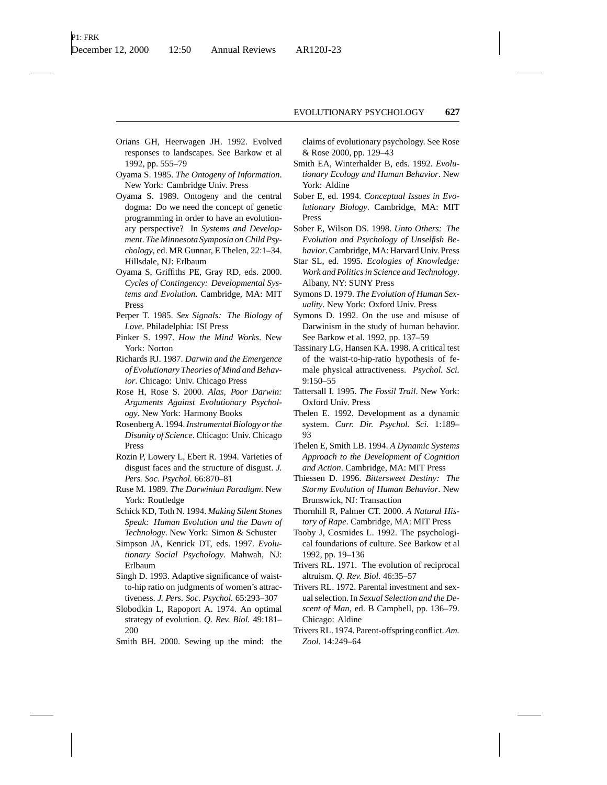- Orians GH, Heerwagen JH. 1992. Evolved responses to landscapes. See Barkow et al 1992, pp. 555–79
- Oyama S. 1985. *The Ontogeny of Information*. New York: Cambridge Univ. Press
- Oyama S. 1989. Ontogeny and the central dogma: Do we need the concept of genetic programming in order to have an evolutionary perspective? In *Systems and Development*. *The Minnesota Symposia on Child Psychology*, ed. MR Gunnar, E Thelen, 22:1–34. Hillsdale, NJ: Erlbaum
- Oyama S, Griffiths PE, Gray RD, eds. 2000. *Cycles of Contingency: Developmental Systems and Evolution*. Cambridge, MA: MIT Press
- Perper T. 1985. *Sex Signals: The Biology of Love*. Philadelphia: ISI Press
- Pinker S. 1997. *How the Mind Works*. New York: Norton
- Richards RJ. 1987. *Darwin and the Emergence of Evolutionary Theories of Mind and Behavior*. Chicago: Univ. Chicago Press
- Rose H, Rose S. 2000. *Alas, Poor Darwin: Arguments Against Evolutionary Psychology*. New York: Harmony Books
- Rosenberg A. 1994.*Instrumental Biology or the Disunity of Science*. Chicago: Univ. Chicago Press
- Rozin P, Lowery L, Ebert R. 1994. Varieties of disgust faces and the structure of disgust. *J. Pers. Soc. Psychol.* 66:870–81
- Ruse M. 1989. *The Darwinian Paradigm*. New York: Routledge
- Schick KD, Toth N. 1994. *Making Silent Stones Speak: Human Evolution and the Dawn of Technology*. New York: Simon & Schuster
- Simpson JA, Kenrick DT, eds. 1997. *Evolutionary Social Psychology*. Mahwah, NJ: Erlbaum
- Singh D. 1993. Adaptive significance of waistto-hip ratio on judgments of women's attractiveness. *J. Pers. Soc. Psychol.* 65:293–307
- Slobodkin L, Rapoport A. 1974. An optimal strategy of evolution. *Q. Rev. Biol.* 49:181– 200
- Smith BH. 2000. Sewing up the mind: the

claims of evolutionary psychology. See Rose & Rose 2000, pp. 129–43

- Smith EA, Winterhalder B, eds. 1992. *Evolutionary Ecology and Human Behavior*. New York: Aldine
- Sober E, ed. 1994. *Conceptual Issues in Evolutionary Biology*. Cambridge, MA: MIT Press
- Sober E, Wilson DS. 1998. *Unto Others: The Evolution and Psychology of Unselfish Behavior*. Cambridge, MA: Harvard Univ. Press
- Star SL, ed. 1995. *Ecologies of Knowledge: Work and Politics in Science and Technology*. Albany, NY: SUNY Press
- Symons D. 1979. *The Evolution of Human Sexuality*. New York: Oxford Univ. Press
- Symons D. 1992. On the use and misuse of Darwinism in the study of human behavior. See Barkow et al. 1992, pp. 137–59
- Tassinary LG, Hansen KA. 1998. A critical test of the waist-to-hip-ratio hypothesis of female physical attractiveness. *Psychol. Sci.* 9:150–55
- Tattersall I. 1995. *The Fossil Trail*. New York: Oxford Univ. Press
- Thelen E. 1992. Development as a dynamic system. *Curr. Dir. Psychol. Sci.* 1:189– 93
- Thelen E, Smith LB. 1994. *A Dynamic Systems Approach to the Development of Cognition and Action*. Cambridge, MA: MIT Press
- Thiessen D. 1996. *Bittersweet Destiny: The Stormy Evolution of Human Behavior*. New Brunswick, NJ: Transaction
- Thornhill R, Palmer CT. 2000. *A Natural History of Rape*. Cambridge, MA: MIT Press
- Tooby J, Cosmides L. 1992. The psychological foundations of culture. See Barkow et al 1992, pp. 19–136
- Trivers RL. 1971. The evolution of reciprocal altruism. *Q. Rev. Biol.* 46:35–57
- Trivers RL. 1972. Parental investment and sexual selection. In *Sexual Selection and the Descent of Man*, ed. B Campbell, pp. 136–79. Chicago: Aldine
- Trivers RL. 1974. Parent-offspring conflict.*Am. Zool.* 14:249–64